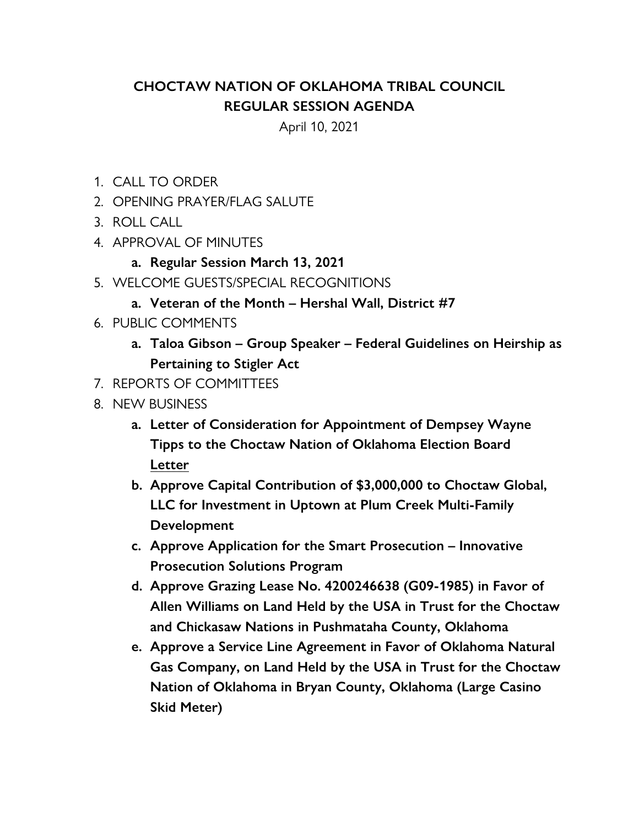## **CHOCTAW NATION OF OKLAHOMA TRIBAL COUNCIL REGULAR SESSION AGENDA**

April 10, 2021

- 1. CALL TO ORDER
- 2. OPENING PRAYER/FLAG SALUTE
- 3. ROLL CALL
- 4. APPROVAL OF MINUTES
	- **a. Regular Session March 13, 2021**
- 5. WELCOME GUESTS/SPECIAL RECOGNITIONS
	- **a. Veteran of the Month Hershal Wall, District #7**
- 6. PUBLIC COMMENTS
	- **a. Taloa Gibson Group Speaker Federal Guidelines on Heirship as Pertaining to Stigler Act**
- 7. REPORTS OF COMMITTEES
- 8. NEW BUSINESS
	- **a. Letter of Consideration for Appointment of Dempsey Wayne Tipps to the Choctaw Nation of Oklahoma Election Board Letter**
	- **b. Approve Capital Contribution of \$3,000,000 to Choctaw Global, LLC for Investment in Uptown at Plum Creek Multi-Family Development**
	- **c. Approve Application for the Smart Prosecution Innovative Prosecution Solutions Program**
	- **d. Approve Grazing Lease No. 4200246638 (G09-1985) in Favor of Allen Williams on Land Held by the USA in Trust for the Choctaw and Chickasaw Nations in Pushmataha County, Oklahoma**
	- **e. Approve a Service Line Agreement in Favor of Oklahoma Natural Gas Company, on Land Held by the USA in Trust for the Choctaw Nation of Oklahoma in Bryan County, Oklahoma (Large Casino Skid Meter)**